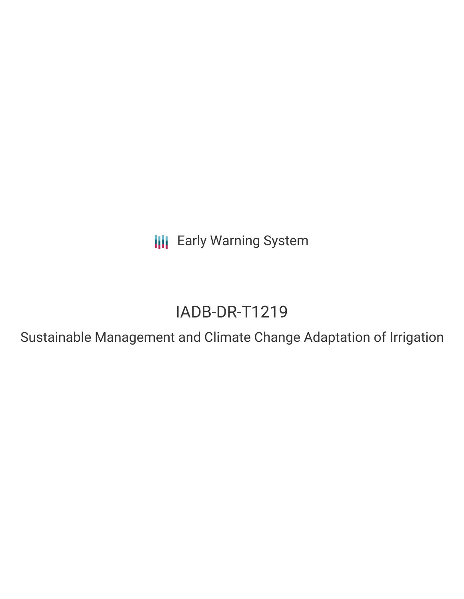**III** Early Warning System

# IADB-DR-T1219

Sustainable Management and Climate Change Adaptation of Irrigation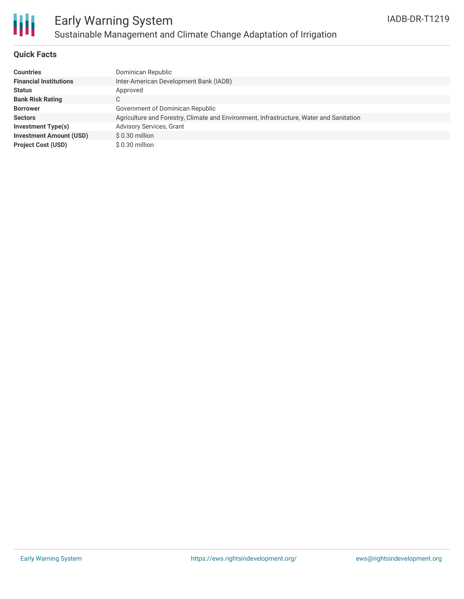

# Early Warning System Sustainable Management and Climate Change Adaptation of Irrigation

### **Quick Facts**

| Countries                      | Dominican Republic                                                                      |
|--------------------------------|-----------------------------------------------------------------------------------------|
| <b>Financial Institutions</b>  | Inter-American Development Bank (IADB)                                                  |
| Status                         | Approved                                                                                |
| <b>Bank Risk Rating</b>        | C                                                                                       |
| <b>Borrower</b>                | Government of Dominican Republic                                                        |
| Sectors                        | Agriculture and Forestry, Climate and Environment, Infrastructure, Water and Sanitation |
| Investment Type(s)             | <b>Advisory Services, Grant</b>                                                         |
| <b>Investment Amount (USD)</b> | \$0.30 million                                                                          |
| <b>Project Cost (USD)</b>      | \$0.30 million                                                                          |
|                                |                                                                                         |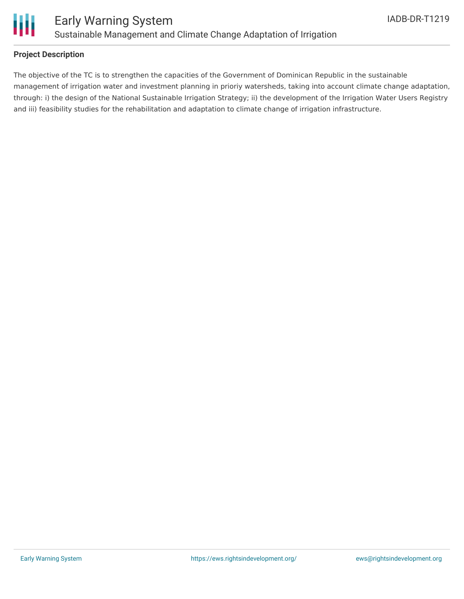

### **Project Description**

The objective of the TC is to strengthen the capacities of the Government of Dominican Republic in the sustainable management of irrigation water and investment planning in prioriy watersheds, taking into account climate change adaptation, through: i) the design of the National Sustainable Irrigation Strategy; ii) the development of the Irrigation Water Users Registry and iii) feasibility studies for the rehabilitation and adaptation to climate change of irrigation infrastructure.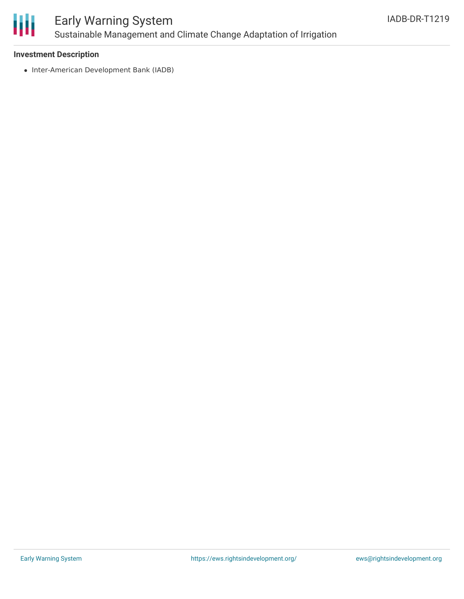

# Early Warning System Sustainable Management and Climate Change Adaptation of Irrigation

### **Investment Description**

• Inter-American Development Bank (IADB)